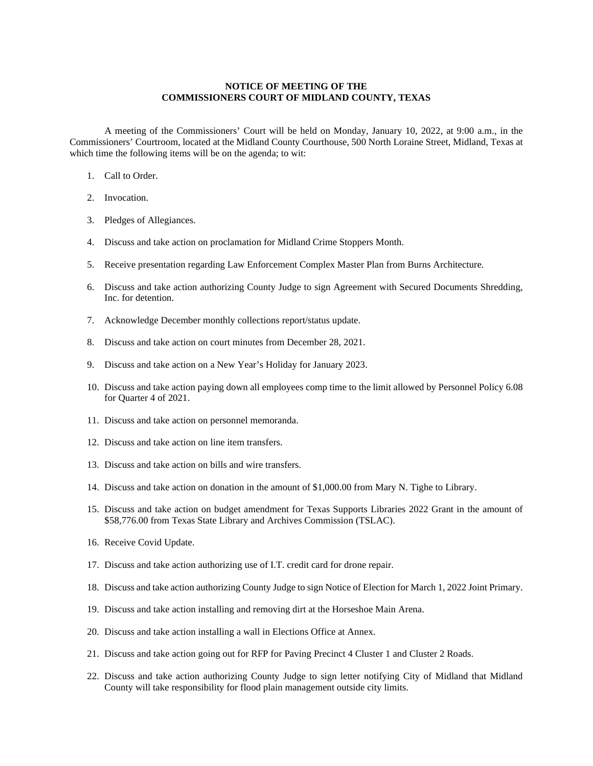## **NOTICE OF MEETING OF THE COMMISSIONERS COURT OF MIDLAND COUNTY, TEXAS**

A meeting of the Commissioners' Court will be held on Monday, January 10, 2022, at 9:00 a.m., in the Commissioners' Courtroom, located at the Midland County Courthouse, 500 North Loraine Street, Midland, Texas at which time the following items will be on the agenda; to wit:

- 1. Call to Order.
- 2. Invocation.
- 3. Pledges of Allegiances.
- 4. Discuss and take action on proclamation for Midland Crime Stoppers Month.
- 5. Receive presentation regarding Law Enforcement Complex Master Plan from Burns Architecture.
- 6. Discuss and take action authorizing County Judge to sign Agreement with Secured Documents Shredding, Inc. for detention.
- 7. Acknowledge December monthly collections report/status update.
- 8. Discuss and take action on court minutes from December 28, 2021.
- 9. Discuss and take action on a New Year's Holiday for January 2023.
- 10. Discuss and take action paying down all employees comp time to the limit allowed by Personnel Policy 6.08 for Quarter 4 of 2021.
- 11. Discuss and take action on personnel memoranda.
- 12. Discuss and take action on line item transfers.
- 13. Discuss and take action on bills and wire transfers.
- 14. Discuss and take action on donation in the amount of \$1,000.00 from Mary N. Tighe to Library.
- 15. Discuss and take action on budget amendment for Texas Supports Libraries 2022 Grant in the amount of \$58,776.00 from Texas State Library and Archives Commission (TSLAC).
- 16. Receive Covid Update.
- 17. Discuss and take action authorizing use of I.T. credit card for drone repair.
- 18. Discuss and take action authorizing County Judge to sign Notice of Election for March 1, 2022 Joint Primary.
- 19. Discuss and take action installing and removing dirt at the Horseshoe Main Arena.
- 20. Discuss and take action installing a wall in Elections Office at Annex.
- 21. Discuss and take action going out for RFP for Paving Precinct 4 Cluster 1 and Cluster 2 Roads.
- 22. Discuss and take action authorizing County Judge to sign letter notifying City of Midland that Midland County will take responsibility for flood plain management outside city limits.